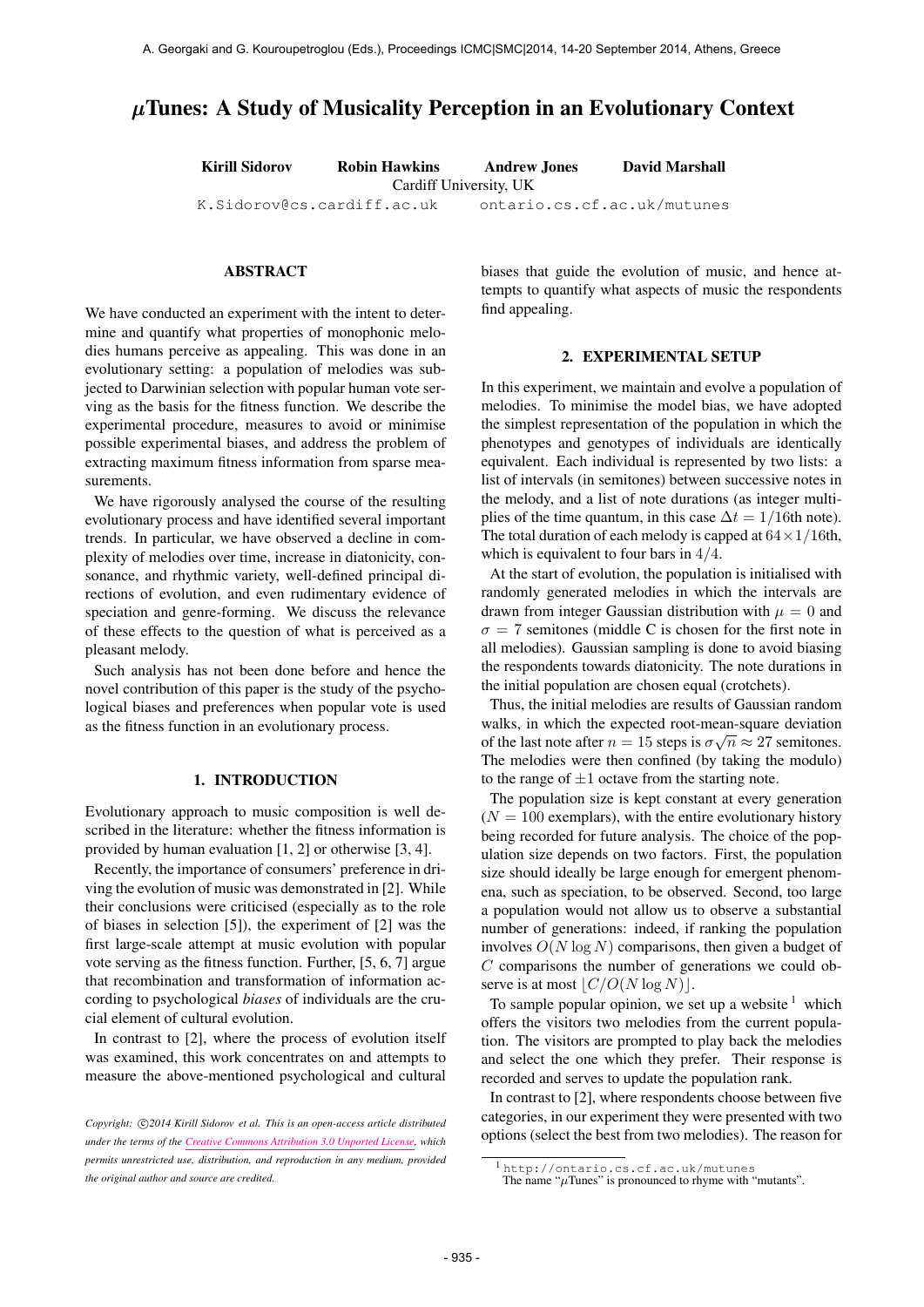# µTunes: A Study of Musicality Perception in an Evolutionary Context

Kirill Sidorov Robin Hawkins Andrew Jones David Marshall

Cardiff University, UK

[K.Sidorov@cs.cardiff.ac.uk](mailto:K.Sidorov@cs.cardiff.ac.uk) ontario.cs.cf.ac.uk/mutunes

# ABSTRACT

We have conducted an experiment with the intent to determine and quantify what properties of monophonic melodies humans perceive as appealing. This was done in an evolutionary setting: a population of melodies was subjected to Darwinian selection with popular human vote serving as the basis for the fitness function. We describe the experimental procedure, measures to avoid or minimise possible experimental biases, and address the problem of extracting maximum fitness information from sparse measurements.

We have rigorously analysed the course of the resulting evolutionary process and have identified several important trends. In particular, we have observed a decline in complexity of melodies over time, increase in diatonicity, consonance, and rhythmic variety, well-defined principal directions of evolution, and even rudimentary evidence of speciation and genre-forming. We discuss the relevance of these effects to the question of what is perceived as a pleasant melody.

Such analysis has not been done before and hence the novel contribution of this paper is the study of the psychological biases and preferences when popular vote is used as the fitness function in an evolutionary process.

### 1. INTRODUCTION

Evolutionary approach to music composition is well described in the literature: whether the fitness information is provided by human evaluation [1, 2] or otherwise [3, 4].

Recently, the importance of consumers' preference in driving the evolution of music was demonstrated in [2]. While their conclusions were criticised (especially as to the role of biases in selection [5]), the experiment of [2] was the first large-scale attempt at music evolution with popular vote serving as the fitness function. Further, [5, 6, 7] argue that recombination and transformation of information according to psychological *biases* of individuals are the crucial element of cultural evolution.

In contrast to [2], where the process of evolution itself was examined, this work concentrates on and attempts to measure the above-mentioned psychological and cultural

biases that guide the evolution of music, and hence attempts to quantify what aspects of music the respondents find appealing.

#### 2. EXPERIMENTAL SETUP

In this experiment, we maintain and evolve a population of melodies. To minimise the model bias, we have adopted the simplest representation of the population in which the phenotypes and genotypes of individuals are identically equivalent. Each individual is represented by two lists: a list of intervals (in semitones) between successive notes in the melody, and a list of note durations (as integer multiplies of the time quantum, in this case  $\Delta t = 1/16$ th note). The total duration of each melody is capped at  $64 \times 1/16$ th, which is equivalent to four bars in 4/4.

At the start of evolution, the population is initialised with randomly generated melodies in which the intervals are drawn from integer Gaussian distribution with  $\mu = 0$  and  $\sigma = 7$  semitones (middle C is chosen for the first note in all melodies). Gaussian sampling is done to avoid biasing the respondents towards diatonicity. The note durations in the initial population are chosen equal (crotchets).

Thus, the initial melodies are results of Gaussian random walks, in which the expected root-mean-square deviation of the last note after  $n = 15$  steps is  $\sigma \sqrt{n} \approx 27$  semitones. The melodies were then confined (by taking the modulo) to the range of  $\pm 1$  octave from the starting note.

The population size is kept constant at every generation  $(N = 100$  exemplars), with the entire evolutionary history being recorded for future analysis. The choice of the population size depends on two factors. First, the population size should ideally be large enough for emergent phenomena, such as speciation, to be observed. Second, too large a population would not allow us to observe a substantial number of generations: indeed, if ranking the population involves  $O(N \log N)$  comparisons, then given a budget of  $C$  comparisons the number of generations we could observe is at most  $|C/O(N \log N)|$ .

To sample popular opinion, we set up a website  $1$  which offers the visitors two melodies from the current population. The visitors are prompted to play back the melodies and select the one which they prefer. Their response is recorded and serves to update the population rank.

In contrast to [2], where respondents choose between five categories, in our experiment they were presented with two options (select the best from two melodies). The reason for

Copyright:  $\bigcirc$ 2014 Kirill Sidorov et al. This is an open-access article distributed *under the terms of the [Creative Commons Attribution 3.0 Unported License,](http://creativecommons.org/licenses/by/3.0/) which permits unrestricted use, distribution, and reproduction in any medium, provided the original author and source are credited.*

<sup>1</sup> <http://ontario.cs.cf.ac.uk/mutunes>

The name " $\mu$ Tunes" is pronounced to rhyme with "mutants".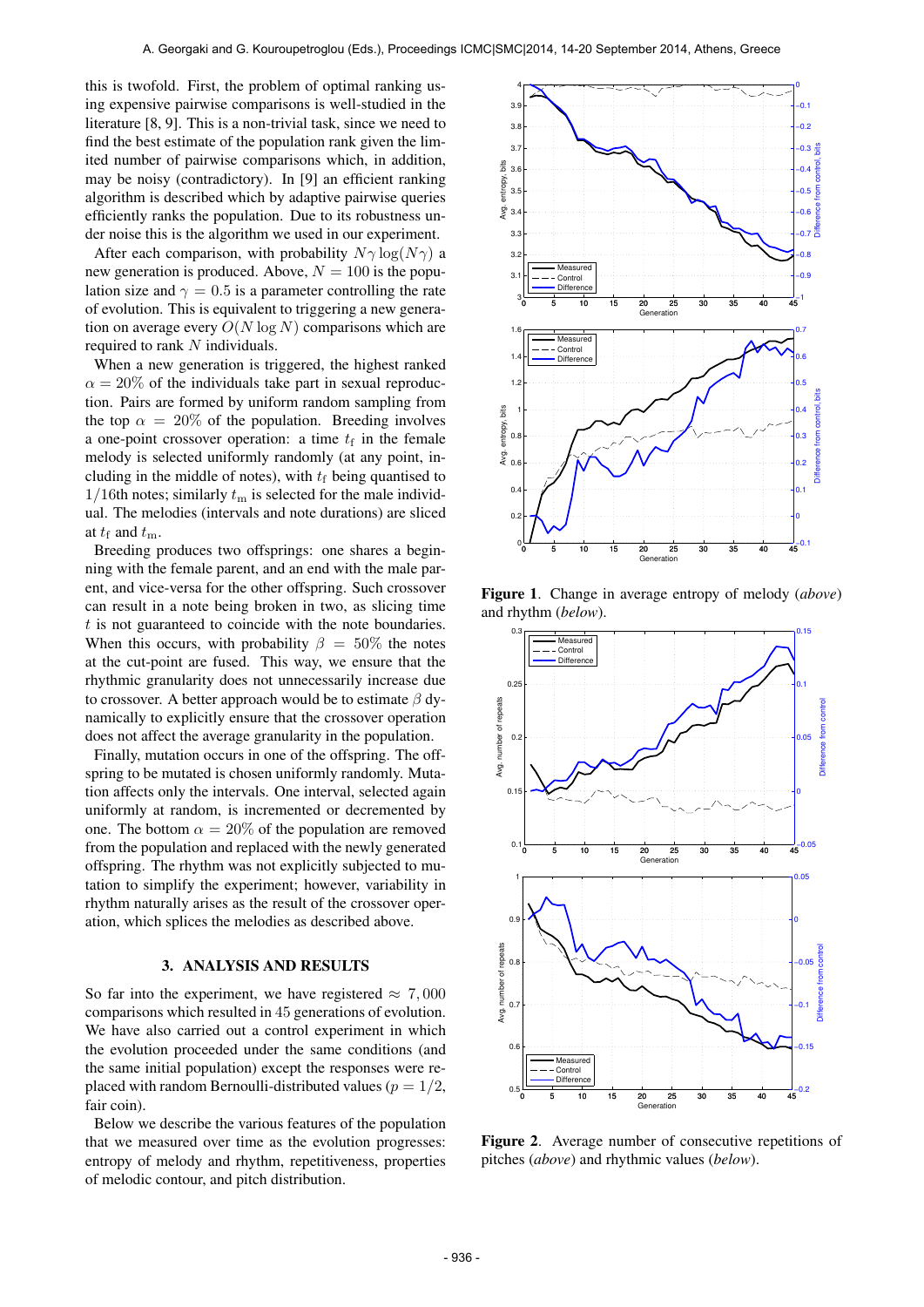this is twofold. First, the problem of optimal ranking using expensive pairwise comparisons is well-studied in the literature [8, 9]. This is a non-trivial task, since we need to find the best estimate of the population rank given the limited number of pairwise comparisons which, in addition, may be noisy (contradictory). In [9] an efficient ranking algorithm is described which by adaptive pairwise queries efficiently ranks the population. Due to its robustness under noise this is the algorithm we used in our experiment.

After each comparison, with probability  $N\gamma \log(N\gamma)$  a new generation is produced. Above,  $N = 100$  is the population size and  $\gamma = 0.5$  is a parameter controlling the rate of evolution. This is equivalent to triggering a new generation on average every  $O(N \log N)$  comparisons which are required to rank N individuals.

When a new generation is triggered, the highest ranked  $\alpha = 20\%$  of the individuals take part in sexual reproduction. Pairs are formed by uniform random sampling from the top  $\alpha = 20\%$  of the population. Breeding involves a one-point crossover operation: a time  $t_f$  in the female melody is selected uniformly randomly (at any point, including in the middle of notes), with  $t_f$  being quantised to  $1/16$ th notes; similarly  $t<sub>m</sub>$  is selected for the male individual. The melodies (intervals and note durations) are sliced at  $t_f$  and  $t_m$ .

Breeding produces two offsprings: one shares a beginning with the female parent, and an end with the male parent, and vice-versa for the other offspring. Such crossover can result in a note being broken in two, as slicing time  $t$  is not guaranteed to coincide with the note boundaries. When this occurs, with probability  $\beta = 50\%$  the notes at the cut-point are fused. This way, we ensure that the rhythmic granularity does not unnecessarily increase due to crossover. A better approach would be to estimate  $\beta$  dynamically to explicitly ensure that the crossover operation does not affect the average granularity in the population.

Finally, mutation occurs in one of the offspring. The offspring to be mutated is chosen uniformly randomly. Mutation affects only the intervals. One interval, selected again uniformly at random, is incremented or decremented by one. The bottom  $\alpha = 20\%$  of the population are removed from the population and replaced with the newly generated offspring. The rhythm was not explicitly subjected to mutation to simplify the experiment; however, variability in rhythm naturally arises as the result of the crossover operation, which splices the melodies as described above.

#### 3. ANALYSIS AND RESULTS

So far into the experiment, we have registered  $\approx 7,000$ comparisons which resulted in 45 generations of evolution. We have also carried out a control experiment in which the evolution proceeded under the same conditions (and the same initial population) except the responses were replaced with random Bernoulli-distributed values ( $p = 1/2$ , fair coin).

Below we describe the various features of the population that we measured over time as the evolution progresses: entropy of melody and rhythm, repetitiveness, properties of melodic contour, and pitch distribution.



Figure 1. Change in average entropy of melody (*above*) and rhythm (*below*).



Figure 2. Average number of consecutive repetitions of pitches (*above*) and rhythmic values (*below*).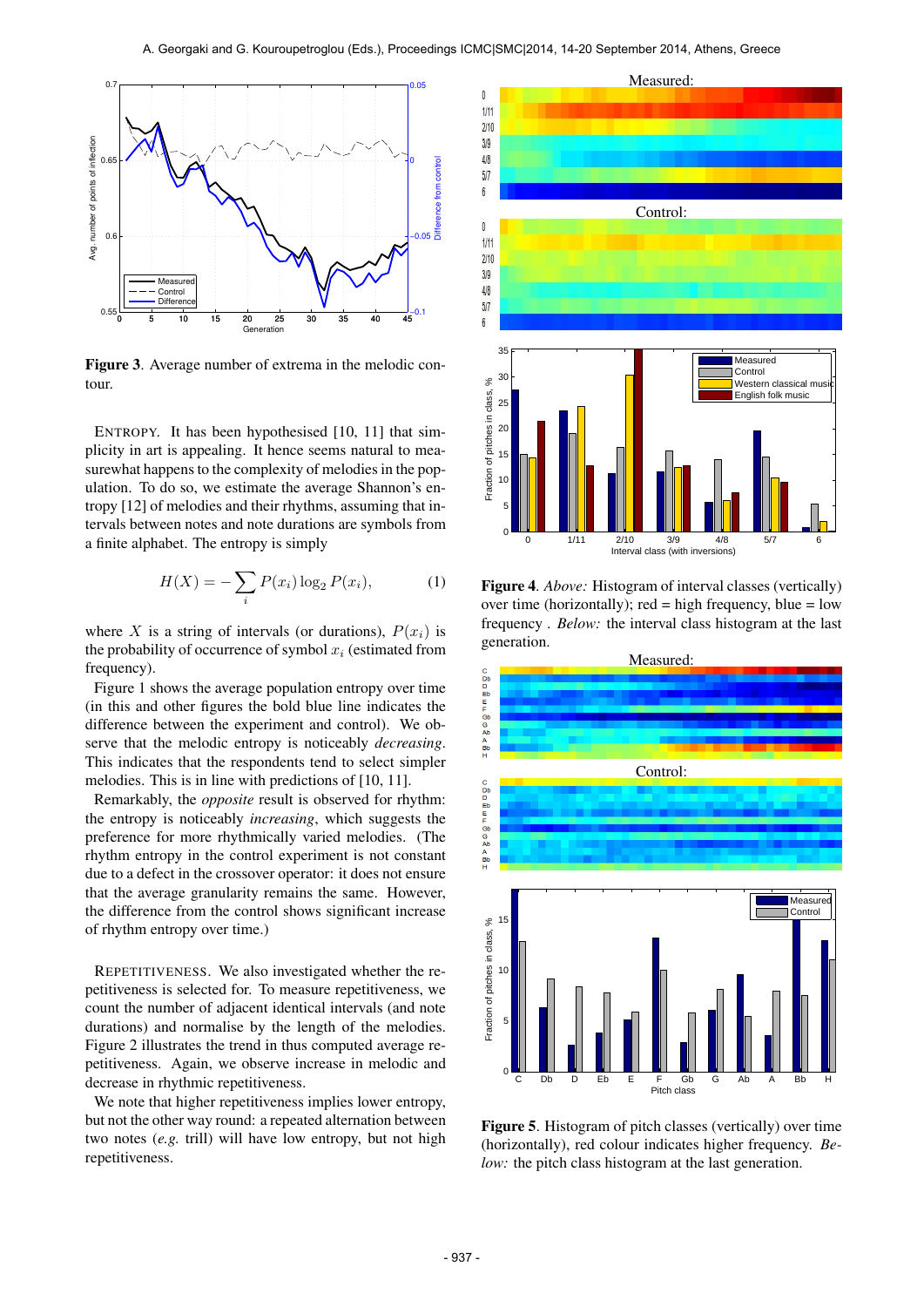

Figure 3. Average number of extrema in the melodic contour.

ENTROPY. It has been hypothesised [10, 11] that simplicity in art is appealing. It hence seems natural to measurewhat happens to the complexity of melodies in the population. To do so, we estimate the average Shannon's entropy [12] of melodies and their rhythms, assuming that intervals between notes and note durations are symbols from a finite alphabet. The entropy is simply

$$
H(X) = -\sum_{i} P(x_i) \log_2 P(x_i),
$$
 (1)

where X is a string of intervals (or durations),  $P(x_i)$  is the probability of occurrence of symbol  $x_i$  (estimated from frequency).

Figure 1 shows the average population entropy over time (in this and other figures the bold blue line indicates the difference between the experiment and control). We observe that the melodic entropy is noticeably *decreasing*. This indicates that the respondents tend to select simpler melodies. This is in line with predictions of [10, 11].

Remarkably, the *opposite* result is observed for rhythm: the entropy is noticeably *increasing*, which suggests the preference for more rhythmically varied melodies. (The rhythm entropy in the control experiment is not constant due to a defect in the crossover operator: it does not ensure that the average granularity remains the same. However, the difference from the control shows significant increase of rhythm entropy over time.)

REPETITIVENESS. We also investigated whether the repetitiveness is selected for. To measure repetitiveness, we count the number of adjacent identical intervals (and note durations) and normalise by the length of the melodies. Figure 2 illustrates the trend in thus computed average repetitiveness. Again, we observe increase in melodic and decrease in rhythmic repetitiveness.

We note that higher repetitiveness implies lower entropy, but not the other way round: a repeated alternation between two notes (*e.g.* trill) will have low entropy, but not high repetitiveness.



Figure 4. *Above:* Histogram of interval classes (vertically) over time (horizontally); red = high frequency, blue =  $low$ frequency . *Below:* the interval class histogram at the last generation.



Figure 5. Histogram of pitch classes (vertically) over time (horizontally), red colour indicates higher frequency. *Below:* the pitch class histogram at the last generation.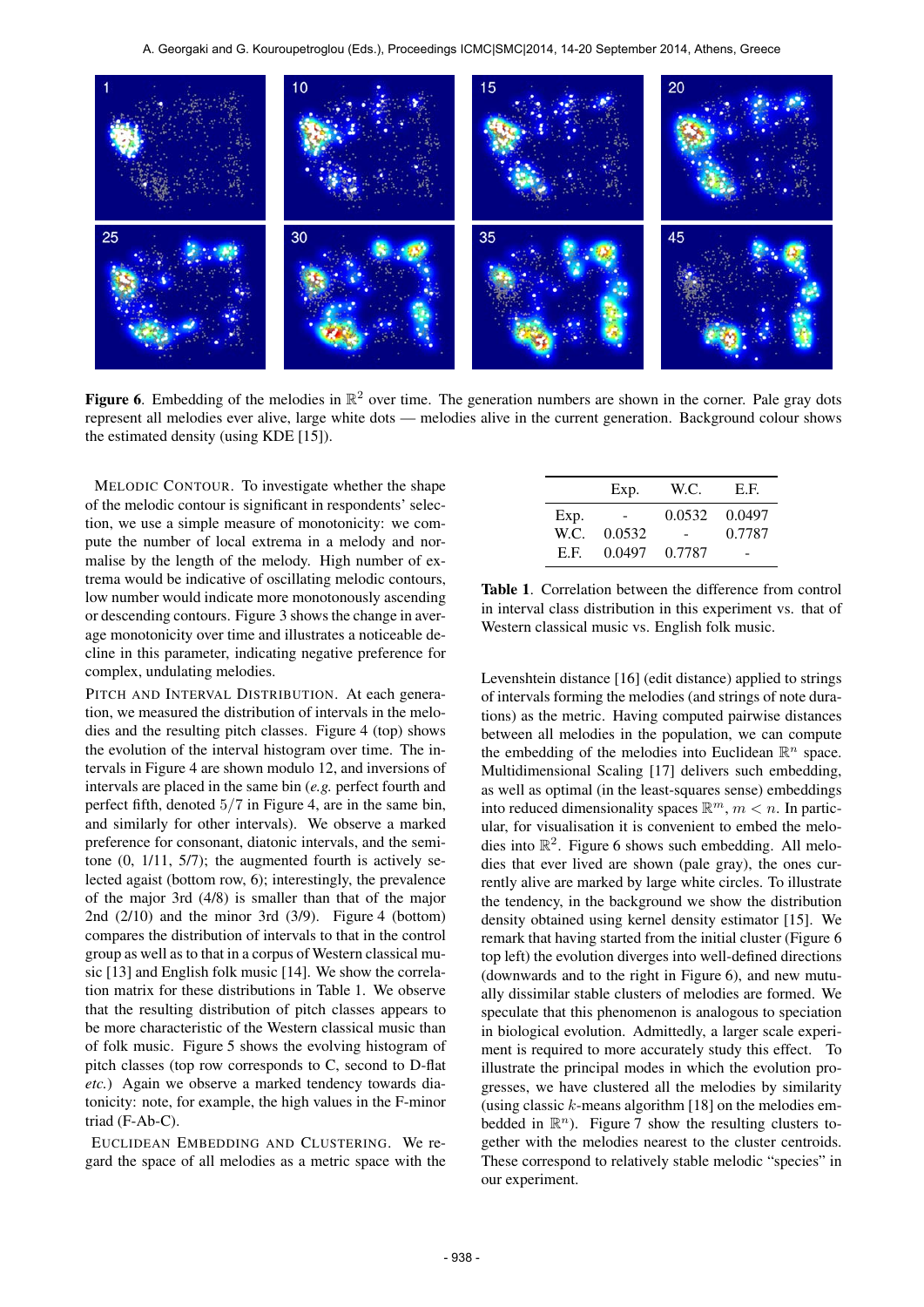

Figure 6. Embedding of the melodies in  $\mathbb{R}^2$  over time. The generation numbers are shown in the corner. Pale gray dots represent all melodies ever alive, large white dots — melodies alive in the current generation. Background colour shows the estimated density (using KDE [15]).

MELODIC CONTOUR. To investigate whether the shape of the melodic contour is significant in respondents' selection, we use a simple measure of monotonicity: we compute the number of local extrema in a melody and normalise by the length of the melody. High number of extrema would be indicative of oscillating melodic contours, low number would indicate more monotonously ascending or descending contours. Figure 3 shows the change in average monotonicity over time and illustrates a noticeable decline in this parameter, indicating negative preference for complex, undulating melodies.

PITCH AND INTERVAL DISTRIBUTION. At each generation, we measured the distribution of intervals in the melodies and the resulting pitch classes. Figure 4 (top) shows the evolution of the interval histogram over time. The intervals in Figure 4 are shown modulo 12, and inversions of intervals are placed in the same bin (*e.g.* perfect fourth and perfect fifth, denoted 5/7 in Figure 4, are in the same bin, and similarly for other intervals). We observe a marked preference for consonant, diatonic intervals, and the semitone (0, 1/11, 5/7); the augmented fourth is actively selected agaist (bottom row, 6); interestingly, the prevalence of the major 3rd (4/8) is smaller than that of the major 2nd (2/10) and the minor 3rd (3/9). Figure 4 (bottom) compares the distribution of intervals to that in the control group as well as to that in a corpus of Western classical music [13] and English folk music [14]. We show the correlation matrix for these distributions in Table 1. We observe that the resulting distribution of pitch classes appears to be more characteristic of the Western classical music than of folk music. Figure 5 shows the evolving histogram of pitch classes (top row corresponds to C, second to D-flat *etc.*) Again we observe a marked tendency towards diatonicity: note, for example, the high values in the F-minor triad (F-Ab-C).

EUCLIDEAN EMBEDDING AND CLUSTERING. We regard the space of all melodies as a metric space with the

|      | Exp.   | W.C.   | E.F.   |
|------|--------|--------|--------|
| Exp. |        | 0.0532 | 0.0497 |
| W.C. | 0.0532 |        | 0.7787 |
| E F  | 0.0497 | 0.7787 |        |

Table 1. Correlation between the difference from control in interval class distribution in this experiment vs. that of Western classical music vs. English folk music.

Levenshtein distance [16] (edit distance) applied to strings of intervals forming the melodies (and strings of note durations) as the metric. Having computed pairwise distances between all melodies in the population, we can compute the embedding of the melodies into Euclidean  $\mathbb{R}^n$  space. Multidimensional Scaling [17] delivers such embedding, as well as optimal (in the least-squares sense) embeddings into reduced dimensionality spaces  $\mathbb{R}^m$ ,  $m < n$ . In particular, for visualisation it is convenient to embed the melodies into  $\mathbb{R}^2$ . Figure 6 shows such embedding. All melodies that ever lived are shown (pale gray), the ones currently alive are marked by large white circles. To illustrate the tendency, in the background we show the distribution density obtained using kernel density estimator [15]. We remark that having started from the initial cluster (Figure 6 top left) the evolution diverges into well-defined directions (downwards and to the right in Figure 6), and new mutually dissimilar stable clusters of melodies are formed. We speculate that this phenomenon is analogous to speciation in biological evolution. Admittedly, a larger scale experiment is required to more accurately study this effect. To illustrate the principal modes in which the evolution progresses, we have clustered all the melodies by similarity (using classic  $k$ -means algorithm [18] on the melodies embedded in  $\mathbb{R}^n$ ). Figure 7 show the resulting clusters together with the melodies nearest to the cluster centroids. These correspond to relatively stable melodic "species" in our experiment.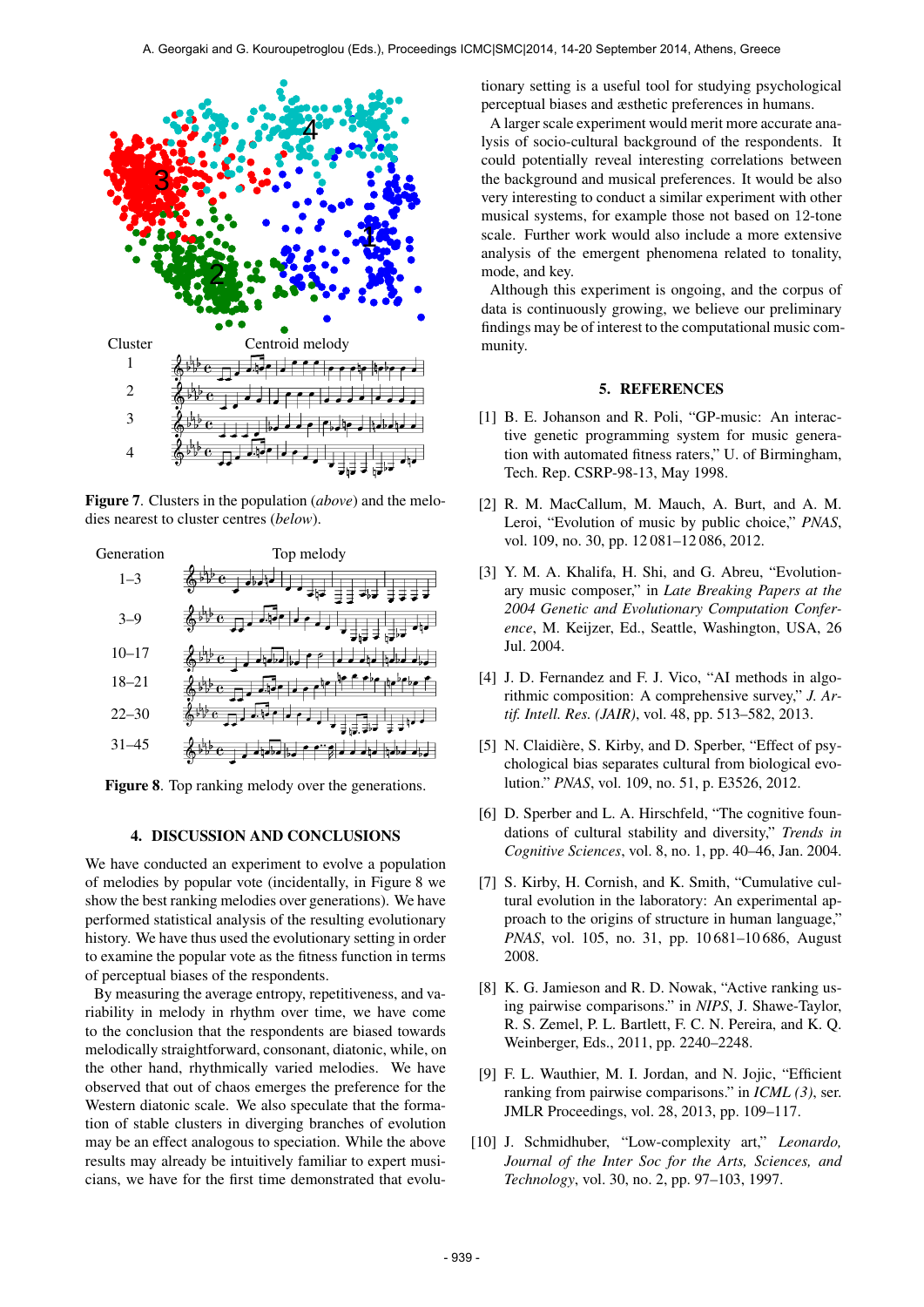

Figure 7. Clusters in the population (*above*) and the melodies nearest to cluster centres (*below*).



Figure 8. Top ranking melody over the generations.

#### 4. DISCUSSION AND CONCLUSIONS

We have conducted an experiment to evolve a population of melodies by popular vote (incidentally, in Figure 8 we show the best ranking melodies over generations). We have performed statistical analysis of the resulting evolutionary history. We have thus used the evolutionary setting in order to examine the popular vote as the fitness function in terms of perceptual biases of the respondents.

By measuring the average entropy, repetitiveness, and variability in melody in rhythm over time, we have come to the conclusion that the respondents are biased towards melodically straightforward, consonant, diatonic, while, on the other hand, rhythmically varied melodies. We have observed that out of chaos emerges the preference for the Western diatonic scale. We also speculate that the formation of stable clusters in diverging branches of evolution may be an effect analogous to speciation. While the above results may already be intuitively familiar to expert musicians, we have for the first time demonstrated that evolutionary setting is a useful tool for studying psychological perceptual biases and æsthetic preferences in humans.

A larger scale experiment would merit more accurate analysis of socio-cultural background of the respondents. It could potentially reveal interesting correlations between the background and musical preferences. It would be also very interesting to conduct a similar experiment with other musical systems, for example those not based on 12-tone scale. Further work would also include a more extensive analysis of the emergent phenomena related to tonality, mode, and key.

Although this experiment is ongoing, and the corpus of data is continuously growing, we believe our preliminary findings may be of interest to the computational music community.

## 5. REFERENCES

- [1] B. E. Johanson and R. Poli, "GP-music: An interactive genetic programming system for music generation with automated fitness raters," U. of Birmingham, Tech. Rep. CSRP-98-13, May 1998.
- [2] R. M. MacCallum, M. Mauch, A. Burt, and A. M. Leroi, "Evolution of music by public choice," *PNAS*, vol. 109, no. 30, pp. 12 081–12 086, 2012.
- [3] Y. M. A. Khalifa, H. Shi, and G. Abreu, "Evolutionary music composer," in *Late Breaking Papers at the 2004 Genetic and Evolutionary Computation Conference*, M. Keijzer, Ed., Seattle, Washington, USA, 26 Jul. 2004.
- [4] J. D. Fernandez and F. J. Vico, "AI methods in algorithmic composition: A comprehensive survey," *J. Artif. Intell. Res. (JAIR)*, vol. 48, pp. 513–582, 2013.
- [5] N. Claidière, S. Kirby, and D. Sperber, "Effect of psychological bias separates cultural from biological evolution." *PNAS*, vol. 109, no. 51, p. E3526, 2012.
- [6] D. Sperber and L. A. Hirschfeld, "The cognitive foundations of cultural stability and diversity," *Trends in Cognitive Sciences*, vol. 8, no. 1, pp. 40–46, Jan. 2004.
- [7] S. Kirby, H. Cornish, and K. Smith, "Cumulative cultural evolution in the laboratory: An experimental approach to the origins of structure in human language," *PNAS*, vol. 105, no. 31, pp. 10 681–10 686, August 2008.
- [8] K. G. Jamieson and R. D. Nowak, "Active ranking using pairwise comparisons." in *NIPS*, J. Shawe-Taylor, R. S. Zemel, P. L. Bartlett, F. C. N. Pereira, and K. Q. Weinberger, Eds., 2011, pp. 2240–2248.
- [9] F. L. Wauthier, M. I. Jordan, and N. Jojic, "Efficient ranking from pairwise comparisons." in *ICML (3)*, ser. JMLR Proceedings, vol. 28, 2013, pp. 109–117.
- [10] J. Schmidhuber, "Low-complexity art," *Leonardo, Journal of the Inter Soc for the Arts, Sciences, and Technology*, vol. 30, no. 2, pp. 97–103, 1997.